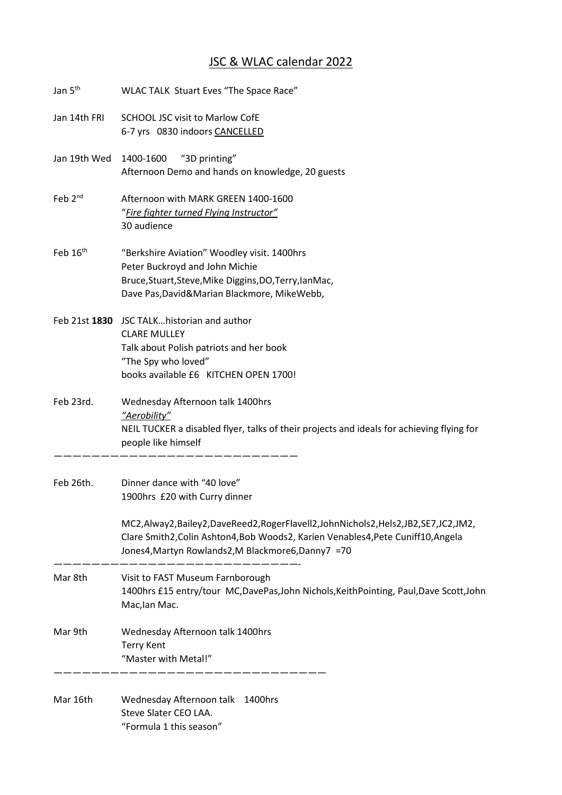## JSC & WLAC calendar 2022

| Jan 5 <sup>th</sup> | WLAC TALK Stuart Eves "The Space Race"                                                                                                                                                                                                                                                     |  |  |
|---------------------|--------------------------------------------------------------------------------------------------------------------------------------------------------------------------------------------------------------------------------------------------------------------------------------------|--|--|
| Jan 14th FRI        | <b>SCHOOL JSC visit to Marlow CofE</b><br>6-7 yrs 0830 indoors CANCELLED                                                                                                                                                                                                                   |  |  |
| Jan 19th Wed        | 1400-1600<br>"3D printing"<br>Afternoon Demo and hands on knowledge, 20 guests                                                                                                                                                                                                             |  |  |
| Feb 2 <sup>nd</sup> | Afternoon with MARK GREEN 1400-1600<br>"Fire fighter turned Flying Instructor"<br>30 audience                                                                                                                                                                                              |  |  |
| Feb $16th$          | "Berkshire Aviation" Woodley visit. 1400hrs<br>Peter Buckroyd and John Michie<br>Bruce, Stuart, Steve, Mike Diggins, DO, Terry, IanMac,<br>Dave Pas, David& Marian Blackmore, Mike Webb,                                                                                                   |  |  |
|                     | Feb 21st 1830 JSC TALKhistorian and author<br><b>CLARE MULLEY</b><br>Talk about Polish patriots and her book<br>"The Spy who loved"<br>books available £6 KITCHEN OPEN 1700!                                                                                                               |  |  |
| Feb 23rd.           | Wednesday Afternoon talk 1400hrs<br>"Aerobility"<br>NEIL TUCKER a disabled flyer, talks of their projects and ideals for achieving flying for<br>people like himself                                                                                                                       |  |  |
| Feb 26th.           | Dinner dance with "40 love"<br>1900hrs £20 with Curry dinner<br>MC2,Alway2,Bailey2,DaveReed2,RogerFlavell2,JohnNichols2,Hels2,JB2,SE7,JC2,JM2,<br>Clare Smith2, Colin Ashton4, Bob Woods2, Karien Venables4, Pete Cuniff10, Angela<br>Jones4, Martyn Rowlands2, M Blackmore6, Danny 7 = 70 |  |  |
| Mar 8th             | Visit to FAST Museum Farnborough<br>1400hrs £15 entry/tour MC,DavePas,John Nichols,KeithPointing, Paul,Dave Scott,John<br>Mac, lan Mac.                                                                                                                                                    |  |  |
| Mar 9th             | Wednesday Afternoon talk 1400hrs<br><b>Terry Kent</b><br>"Master with Metal!"                                                                                                                                                                                                              |  |  |
| Mar 16th            | Wednesday Afternoon talk 1400hrs<br>Steve Slater CEO LAA.<br>"Formula 1 this season"                                                                                                                                                                                                       |  |  |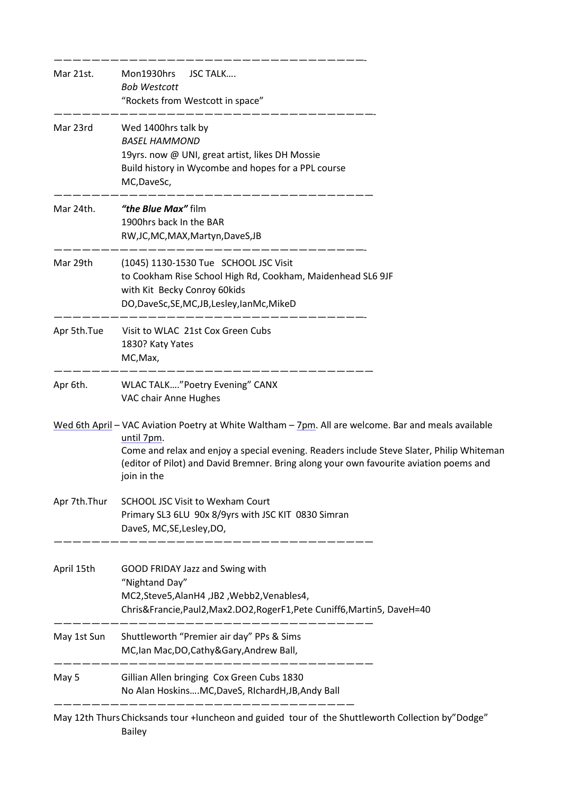| Mar 21st.    | Mon1930hrs JSC TALK<br><b>Bob Westcott</b><br>"Rockets from Westcott in space"                                                                                                                                                                                                                                           |  |
|--------------|--------------------------------------------------------------------------------------------------------------------------------------------------------------------------------------------------------------------------------------------------------------------------------------------------------------------------|--|
| Mar 23rd     | Wed 1400hrs talk by<br><b>BASEL HAMMOND</b><br>19yrs. now @ UNI, great artist, likes DH Mossie<br>Build history in Wycombe and hopes for a PPL course<br>MC, DaveSc,                                                                                                                                                     |  |
| Mar 24th.    | "the Blue Max" film<br>1900hrs back In the BAR<br>RW, JC, MC, MAX, Martyn, DaveS, JB                                                                                                                                                                                                                                     |  |
| Mar 29th     | (1045) 1130-1530 Tue SCHOOL JSC Visit<br>to Cookham Rise School High Rd, Cookham, Maidenhead SL6 9JF<br>with Kit Becky Conroy 60kids<br>DO,DaveSc,SE,MC,JB,Lesley,IanMc,MikeD                                                                                                                                            |  |
| Apr 5th.Tue  | Visit to WLAC 21st Cox Green Cubs<br>1830? Katy Yates<br>MC, Max,                                                                                                                                                                                                                                                        |  |
| Apr 6th.     | WLAC TALK"Poetry Evening" CANX<br>VAC chair Anne Hughes                                                                                                                                                                                                                                                                  |  |
|              | Wed 6th April - VAC Aviation Poetry at White Waltham - 7pm. All are welcome. Bar and meals available<br>until 7pm.<br>Come and relax and enjoy a special evening. Readers include Steve Slater, Philip Whiteman<br>(editor of Pilot) and David Bremner. Bring along your own favourite aviation poems and<br>join in the |  |
| Apr 7th.Thur | <b>SCHOOL JSC Visit to Wexham Court</b><br>Primary SL3 6LU 90x 8/9yrs with JSC KIT 0830 Simran<br>DaveS, MC, SE, Lesley, DO,                                                                                                                                                                                             |  |
| April 15th   | GOOD FRIDAY Jazz and Swing with<br>"Nightand Day"<br>MC2, Steve 5, Alan H4, JB2, Webb2, Venables 4,<br>Chris&Francie, Paul2, Max2.DO2, RogerF1, Pete Cuniff6, Martin5, DaveH=40                                                                                                                                          |  |
| May 1st Sun  | Shuttleworth "Premier air day" PPs & Sims<br>MC, Ian Mac, DO, Cathy & Gary, Andrew Ball,                                                                                                                                                                                                                                 |  |
| May 5        | Gillian Allen bringing Cox Green Cubs 1830<br>No Alan HoskinsMC, DaveS, RIchardH, JB, Andy Ball                                                                                                                                                                                                                          |  |
|              |                                                                                                                                                                                                                                                                                                                          |  |

May 12th Thurs Chicksands tour +luncheon and guided tour of the Shuttleworth Collection by"Dodge" Bailey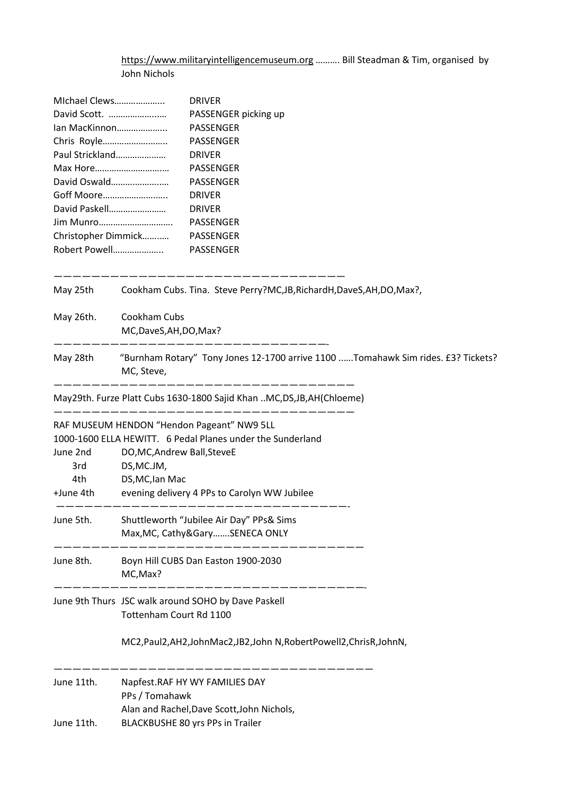[https://www.militaryintelligencemuseum.org](https://www.militaryintelligencemuseum.org/) ………. Bill Steadman & Tim, organised by John Nichols

| MIchael Clews   | <b>DRIVER</b>                                                                                                  |  |  |
|-----------------|----------------------------------------------------------------------------------------------------------------|--|--|
| David Scott.    | PASSENGER picking up                                                                                           |  |  |
| Ian MacKinnon   | PASSENGER                                                                                                      |  |  |
| Chris Royle     | PASSENGER                                                                                                      |  |  |
| Paul Strickland | <b>DRIVER</b>                                                                                                  |  |  |
|                 | PASSENGER                                                                                                      |  |  |
| David Oswald    | PASSENGER                                                                                                      |  |  |
| Goff Moore      | <b>DRIVER</b>                                                                                                  |  |  |
| David Paskell   | <b>DRIVER</b>                                                                                                  |  |  |
|                 | PASSENGER                                                                                                      |  |  |
|                 | Christopher Dimmick<br>PASSENGER                                                                               |  |  |
| Robert Powell   | PASSENGER                                                                                                      |  |  |
| May 25th        | Cookham Cubs. Tina. Steve Perry?MC, JB, RichardH, DaveS, AH, DO, Max?,                                         |  |  |
| May 26th.       | Cookham Cubs<br>MC,DaveS,AH,DO,Max?                                                                            |  |  |
| May 28th        | ------------<br>"Burnham Rotary" Tony Jones 12-1700 arrive 1100 Tomahawk Sim rides. £3? Tickets?<br>MC, Steve, |  |  |
|                 | May29th. Furze Platt Cubs 1630-1800 Sajid Khan MC, DS, JB, AH(Chloeme)                                         |  |  |
|                 | RAF MUSEUM HENDON "Hendon Pageant" NW9 5LL                                                                     |  |  |
|                 | 1000-1600 ELLA HEWITT. 6 Pedal Planes under the Sunderland                                                     |  |  |
| June 2nd        | DO, MC, Andrew Ball, SteveE                                                                                    |  |  |
| 3rd             | DS, MC.JM,                                                                                                     |  |  |
| 4th.            | DS, MC, lan Mac                                                                                                |  |  |
| +June 4th       | evening delivery 4 PPs to Carolyn WW Jubilee                                                                   |  |  |
| June 5th.       | Shuttleworth "Jubilee Air Day" PPs& Sims                                                                       |  |  |
|                 | Max, MC, Cathy & Gary SENECA ONLY                                                                              |  |  |
| June 8th.       | Boyn Hill CUBS Dan Easton 1900-2030<br>MC, Max?                                                                |  |  |
|                 | June 9th Thurs JSC walk around SOHO by Dave Paskell<br>Tottenham Court Rd 1100                                 |  |  |
|                 | MC2, Paul2, AH2, JohnMac2, JB2, John N, Robert Powell2, Chris R, John N,                                       |  |  |
| June 11th.      | Napfest.RAF HY WY FAMILIES DAY<br>PPs / Tomahawk                                                               |  |  |
|                 | Alan and Rachel, Dave Scott, John Nichols,                                                                     |  |  |
| June 11th.      | BLACKBUSHE 80 yrs PPs in Trailer                                                                               |  |  |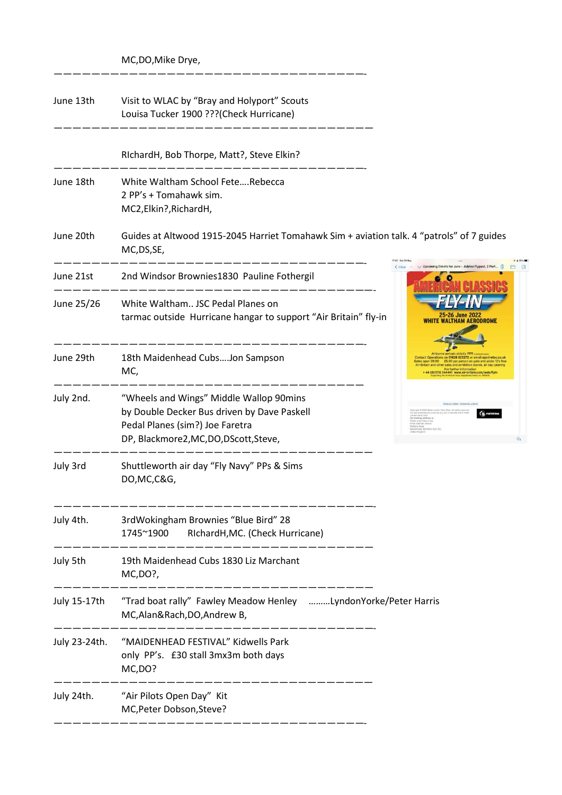MC,DO,Mike Drye,

—————————————————————————————————-

| June 13th     | Visit to WLAC by "Bray and Holyport" Scouts<br>Louisa Tucker 1900 ??? (Check Hurricane)                                                                             |                                                                                                                                                                             |
|---------------|---------------------------------------------------------------------------------------------------------------------------------------------------------------------|-----------------------------------------------------------------------------------------------------------------------------------------------------------------------------|
|               | RIchardH, Bob Thorpe, Matt?, Steve Elkin?                                                                                                                           |                                                                                                                                                                             |
| June 18th     | White Waltham School FeteRebecca<br>2 PP's + Tomahawk sim.<br>MC2, Elkin?, RichardH,                                                                                |                                                                                                                                                                             |
| June 20th     | Guides at Altwood 1915-2045 Harriet Tomahawk Sim + aviation talk. 4 "patrols" of 7 guides<br>MC, DS, SE,                                                            |                                                                                                                                                                             |
| June 21st     | 2nd Windsor Brownies1830 Pauline Fothergil                                                                                                                          |                                                                                                                                                                             |
| June 25/26    | White Waltham JSC Pedal Planes on<br>tarmac outside Hurricane hangar to support "Air Britain" fly-in                                                                | 25-26 June 2022<br><b>WALTHAM AERODROME</b>                                                                                                                                 |
| June 29th     | 18th Maidenhead CubsJon Sampson<br>MC,                                                                                                                              | Operations on 01628 823272 or email ops<br>es open 09:00    ES.00 per person on gate and under 12's free<br>Britain and other sales and exhibition stands, all day catering |
| July 2nd.     | "Wheels and Wings" Middle Wallop 90mins<br>by Double Decker Bus driven by Dave Paskell<br>Pedal Planes (sim?) Joe Faretra<br>DP, Blackmore2, MC, DO, DScott, Steve, |                                                                                                                                                                             |
| July 3rd      | Shuttleworth air day "Fly Navy" PPs & Sims<br>DO, MC, C&G,                                                                                                          |                                                                                                                                                                             |
|               | July 4th. 3rdWokingham Brownies "Blue Bird" 28<br>1745~1900<br>RIchardH, MC. (Check Hurricane)                                                                      |                                                                                                                                                                             |
| July 5th      | 19th Maidenhead Cubs 1830 Liz Marchant<br>MC, DO?,                                                                                                                  |                                                                                                                                                                             |
| July 15-17th  | "Trad boat rally" Fawley Meadow Henley LyndonYorke/Peter Harris<br>MC, Alan&Rach, DO, Andrew B,                                                                     |                                                                                                                                                                             |
| July 23-24th. | "MAIDENHEAD FESTIVAL" Kidwells Park<br>only PP's. £30 stall 3mx3m both days<br>MC,DO?                                                                               |                                                                                                                                                                             |
| July 24th.    | "Air Pilots Open Day" Kit<br>MC, Peter Dobson, Steve?                                                                                                               |                                                                                                                                                                             |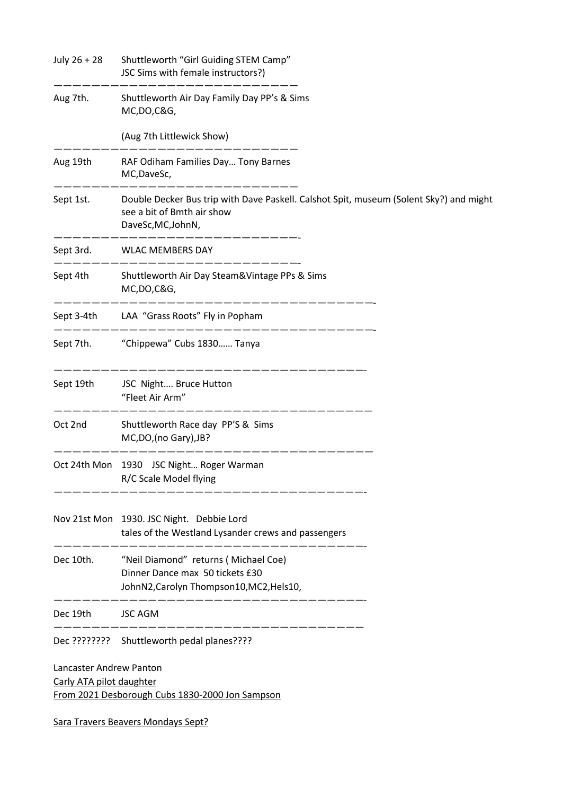| July 26 + 28                                        | Shuttleworth "Girl Guiding STEM Camp"<br>JSC Sims with female instructors?)                                                                |
|-----------------------------------------------------|--------------------------------------------------------------------------------------------------------------------------------------------|
| Aug 7th.                                            | Shuttleworth Air Day Family Day PP's & Sims<br>MC, DO, C&G,                                                                                |
|                                                     | (Aug 7th Littlewick Show)                                                                                                                  |
| Aug 19th                                            | RAF Odiham Families Day Tony Barnes<br>MC, DaveSc,                                                                                         |
| Sept 1st.                                           | Double Decker Bus trip with Dave Paskell. Calshot Spit, museum (Solent Sky?) and might<br>see a bit of Bmth air show<br>DaveSc, MC, JohnN, |
|                                                     | ---------<br>Sept 3rd. WLAC MEMBERS DAY                                                                                                    |
| Sept 4th                                            | Shuttleworth Air Day Steam&Vintage PPs & Sims<br>MC, DO, C&G,                                                                              |
| Sept 3-4th                                          | LAA "Grass Roots" Fly in Popham                                                                                                            |
|                                                     | Sept 7th. "Chippewa" Cubs 1830 Tanya                                                                                                       |
| Sept 19th                                           | JSC Night Bruce Hutton<br>"Fleet Air Arm"                                                                                                  |
| Oct 2nd                                             | Shuttleworth Race day PP'S & Sims<br>MC, DO, (no Gary), JB?                                                                                |
|                                                     | Oct 24th Mon 1930 JSC Night Roger Warman<br>R/C Scale Model flying                                                                         |
|                                                     | Nov 21st Mon 1930. JSC Night. Debbie Lord<br>tales of the Westland Lysander crews and passengers                                           |
| Dec 10th.                                           | "Neil Diamond" returns (Michael Coe)<br>Dinner Dance max 50 tickets £30<br>JohnN2, Carolyn Thompson10, MC2, Hels10,                        |
| Dec 19th                                            | <b>JSC AGM</b>                                                                                                                             |
|                                                     | ________________<br>Dec ???????? Shuttleworth pedal planes????                                                                             |
| Lancaster Andrew Panton<br>Carly ATA pilot daughter | From 2021 Desborough Cubs 1830-2000 Jon Sampson                                                                                            |
|                                                     | <b>Sara Travers Beavers Mondays Sept?</b>                                                                                                  |